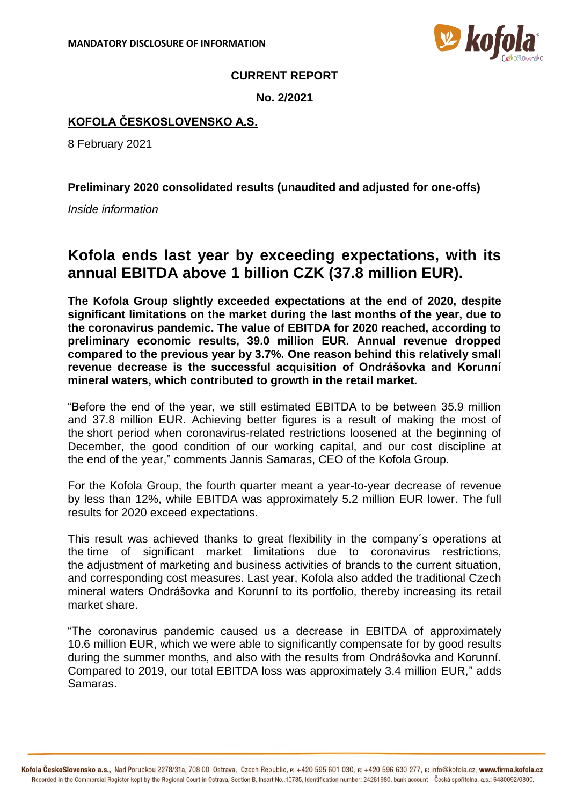

## **CURRENT REPORT**

**No. 2/2021**

## **KOFOLA ČESKOSLOVENSKO A.S.**

8 February 2021

**Preliminary 2020 consolidated results (unaudited and adjusted for one-offs)**

*Inside information*

## **Kofola ends last year by exceeding expectations, with its annual EBITDA above 1 billion CZK (37.8 million EUR).**

**The Kofola Group slightly exceeded expectations at the end of 2020, despite significant limitations on the market during the last months of the year, due to the coronavirus pandemic. The value of EBITDA for 2020 reached, according to preliminary economic results, 39.0 million EUR. Annual revenue dropped compared to the previous year by 3.7%. One reason behind this relatively small revenue decrease is the successful acquisition of Ondrášovka and Korunní mineral waters, which contributed to growth in the retail market.** 

"Before the end of the year, we still estimated EBITDA to be between 35.9 million and 37.8 million EUR. Achieving better figures is a result of making the most of the short period when coronavirus-related restrictions loosened at the beginning of December, the good condition of our working capital, and our cost discipline at the end of the year," comments Jannis Samaras, CEO of the Kofola Group.

For the Kofola Group, the fourth quarter meant a year-to-year decrease of revenue by less than 12%, while EBITDA was approximately 5.2 million EUR lower. The full results for 2020 exceed expectations.

This result was achieved thanks to great flexibility in the company´s operations at the time of significant market limitations due to coronavirus restrictions, the adjustment of marketing and business activities of brands to the current situation, and corresponding cost measures. Last year, Kofola also added the traditional Czech mineral waters Ondrášovka and Korunní to its portfolio, thereby increasing its retail market share.

"The coronavirus pandemic caused us a decrease in EBITDA of approximately 10.6 million EUR, which we were able to significantly compensate for by good results during the summer months, and also with the results from Ondrášovka and Korunní. Compared to 2019, our total EBITDA loss was approximately 3.4 million EUR," adds Samaras.